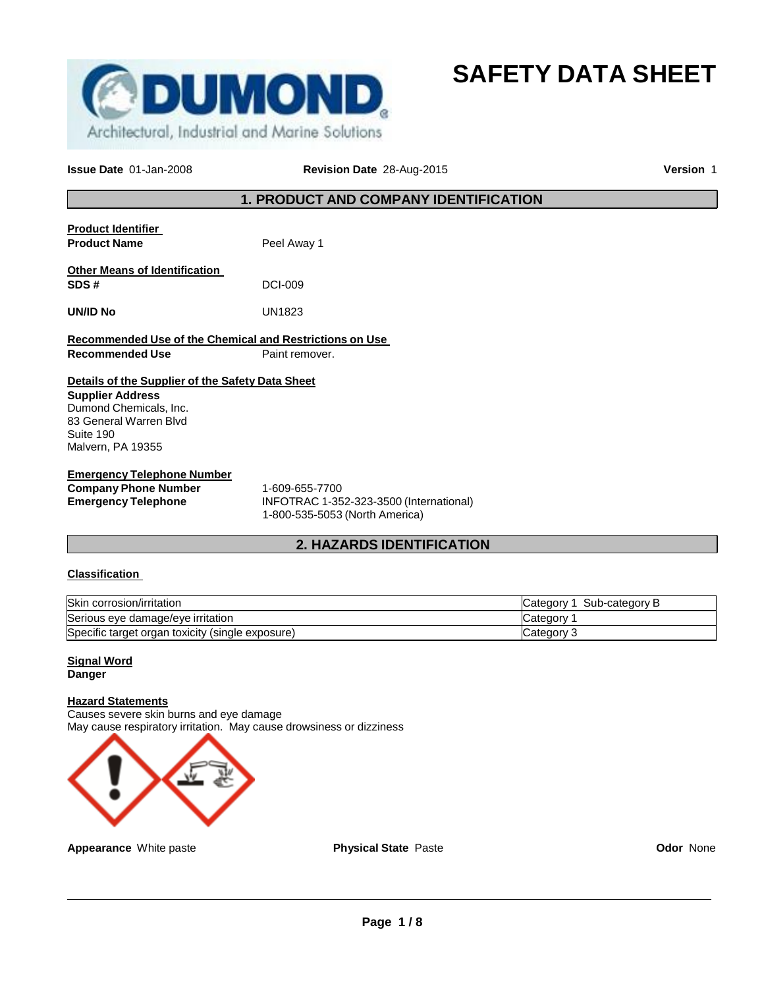

**SAFETY DATA SHEET**

**Issue Date** 01-Jan-2008 **Revision Date** 28-Aug-2015 **Version** 1

## **1. PRODUCT AND COMPANY IDENTIFICATION**

| <b>Product Identifier</b><br><b>Product Name</b>                                                                                                                  | Peel Away 1                                                                                    |
|-------------------------------------------------------------------------------------------------------------------------------------------------------------------|------------------------------------------------------------------------------------------------|
| <b>Other Means of Identification</b><br>SDS#                                                                                                                      | <b>DCI-009</b>                                                                                 |
| UN/ID No                                                                                                                                                          | UN1823                                                                                         |
| Recommended Use of the Chemical and Restrictions on Use<br><b>Recommended Use</b>                                                                                 | Paint remover.                                                                                 |
| Details of the Supplier of the Safety Data Sheet<br><b>Supplier Address</b><br>Dumond Chemicals, Inc.<br>83 General Warren Blvd<br>Suite 190<br>Malvern, PA 19355 |                                                                                                |
| <b>Emergency Telephone Number</b><br><b>Company Phone Number</b>                                                                                                  | 1-609-655-7700<br>$I \cup I \cap T \cap A \cap A$ and and anno $I \cup I \cup I \cup I \cup I$ |

**Emergency Telephone** INFOTRAC 1-352-323-3500 (International) 1-800-535-5053 (North America)

## **2. HAZARDS IDENTIFICATION**

## **Classification**

| Skin corrosion/irritation                        | Category 1 Sub-category B |
|--------------------------------------------------|---------------------------|
| Serious eye damage/eye irritation                | Category 1                |
| Specific target organ toxicity (single exposure) | Category 3                |

**Signal Word Danger**

## **Hazard Statements**

Causes severe skin burns and eye damage May cause respiratory irritation. May cause drowsiness or dizziness



**Appearance** White paste **Physical State** Paste **Paste Paste Codor** None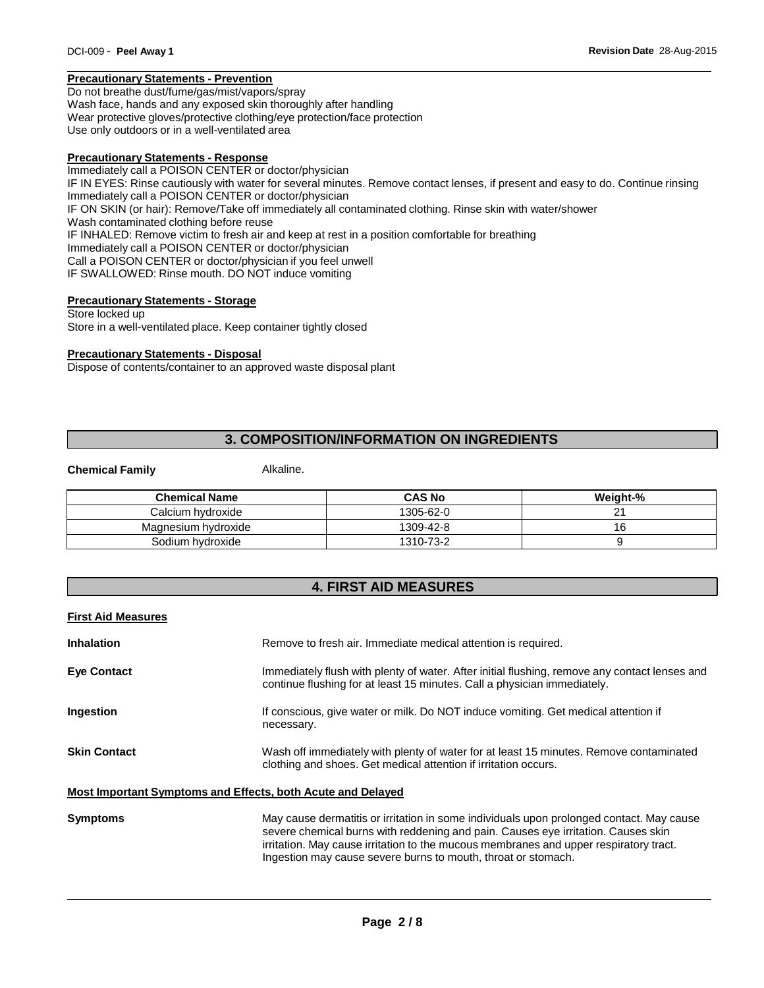## **Precautionary Statements - Prevention**

Do not breathe dust/fume/gas/mist/vapors/spray Wash face, hands and any exposed skin thoroughly after handling Wear protective gloves/protective clothing/eye protection/face protection Use only outdoors or in a well-ventilated area

## **Precautionary Statements - Response**

Immediately call a POISON CENTER or doctor/physician IF IN EYES: Rinse cautiously with water for several minutes. Remove contact lenses, if present and easy to do. Continue rinsing Immediately call a POISON CENTER or doctor/physician IF ON SKIN (or hair): Remove/Take off immediately all contaminated clothing. Rinse skin with water/shower Wash contaminated clothing before reuse IF INHALED: Remove victim to fresh air and keep at rest in a position comfortable for breathing Immediately call a POISON CENTER or doctor/physician Call a POISON CENTER or doctor/physician if you feel unwell IF SWALLOWED: Rinse mouth. DO NOT induce vomiting

## **Precautionary Statements - Storage**

Store locked up Store in a well-ventilated place. Keep container tightly closed

## **Precautionary Statements - Disposal**

Dispose of contents/container to an approved waste disposal plant

## **3. COMPOSITION/INFORMATION ON INGREDIENTS**

#### **Chemical Family Alkaline.**

| <b>Chemical Name</b> | <b>CAS No</b> | Weight-% |
|----------------------|---------------|----------|
| Calcium hvdroxide    | 1305-62-0     |          |
| Magnesium hydroxide  | 1309-42-8     | 16       |
| Sodium hydroxide     | 1310-73-2     |          |

## **4. FIRST AID MEASURES**

| <b>First Aid Measures</b> |                                                                                                                                                                                                                                                                                                                                         |
|---------------------------|-----------------------------------------------------------------------------------------------------------------------------------------------------------------------------------------------------------------------------------------------------------------------------------------------------------------------------------------|
| <b>Inhalation</b>         | Remove to fresh air. Immediate medical attention is required.                                                                                                                                                                                                                                                                           |
| <b>Eve Contact</b>        | Immediately flush with plenty of water. After initial flushing, remove any contact lenses and<br>continue flushing for at least 15 minutes. Call a physician immediately.                                                                                                                                                               |
| <b>Ingestion</b>          | If conscious, give water or milk. Do NOT induce vomiting. Get medical attention if<br>necessary.                                                                                                                                                                                                                                        |
| <b>Skin Contact</b>       | Wash off immediately with plenty of water for at least 15 minutes. Remove contaminated<br>clothing and shoes. Get medical attention if irritation occurs.                                                                                                                                                                               |
|                           | Most Important Symptoms and Effects, both Acute and Delayed                                                                                                                                                                                                                                                                             |
| <b>Symptoms</b>           | May cause dermatitis or irritation in some individuals upon prolonged contact. May cause<br>severe chemical burns with reddening and pain. Causes eye irritation. Causes skin<br>irritation. May cause irritation to the mucous membranes and upper respiratory tract.<br>Ingestion may cause severe burns to mouth, throat or stomach. |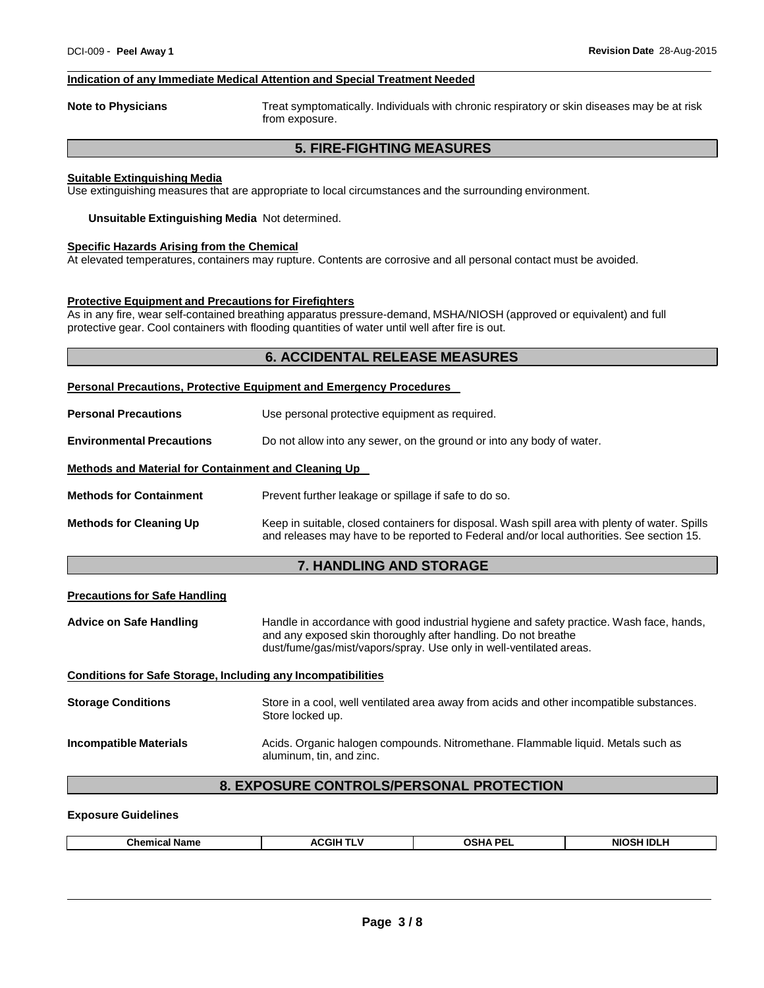## **Indication of any Immediate Medical Attention and Special Treatment Needed**

**Note to Physicians** Treat symptomatically. Individuals with chronic respiratory or skin diseases may be at risk from exposure.

## **5. FIRE-FIGHTING MEASURES**

## **Suitable Extinguishing Media**

Use extinguishing measures that are appropriate to local circumstances and the surrounding environment.

**Unsuitable Extinguishing Media** Not determined.

## **Specific Hazards Arising from the Chemical**

At elevated temperatures, containers may rupture. Contents are corrosive and all personal contact must be avoided.

## **Protective Equipment and Precautions for Firefighters**

As in any fire, wear self-contained breathing apparatus pressure-demand, MSHA/NIOSH (approved or equivalent) and full protective gear. Cool containers with flooding quantities of water until well after fire is out.

## **6. ACCIDENTAL RELEASE MEASURES**

|                                                                     | <b>Personal Precautions, Protective Equipment and Emergency Procedures</b>                                                                                                                                                        |  |
|---------------------------------------------------------------------|-----------------------------------------------------------------------------------------------------------------------------------------------------------------------------------------------------------------------------------|--|
| <b>Personal Precautions</b>                                         | Use personal protective equipment as required.                                                                                                                                                                                    |  |
| <b>Environmental Precautions</b>                                    | Do not allow into any sewer, on the ground or into any body of water.                                                                                                                                                             |  |
| Methods and Material for Containment and Cleaning Up                |                                                                                                                                                                                                                                   |  |
| <b>Methods for Containment</b>                                      | Prevent further leakage or spillage if safe to do so.                                                                                                                                                                             |  |
| <b>Methods for Cleaning Up</b>                                      | Keep in suitable, closed containers for disposal. Wash spill area with plenty of water. Spills<br>and releases may have to be reported to Federal and/or local authorities. See section 15.                                       |  |
|                                                                     | 7. HANDLING AND STORAGE                                                                                                                                                                                                           |  |
| <b>Precautions for Safe Handling</b>                                |                                                                                                                                                                                                                                   |  |
| <b>Advice on Safe Handling</b>                                      | Handle in accordance with good industrial hygiene and safety practice. Wash face, hands,<br>and any exposed skin thoroughly after handling. Do not breathe<br>dust/fume/gas/mist/vapors/spray. Use only in well-ventilated areas. |  |
| <b>Conditions for Safe Storage, Including any Incompatibilities</b> |                                                                                                                                                                                                                                   |  |
| <b>Storage Conditions</b>                                           | Store in a cool, well ventilated area away from acids and other incompatible substances.<br>Store locked up.                                                                                                                      |  |
| <b>Incompatible Materials</b>                                       | Acids. Organic halogen compounds. Nitromethane. Flammable liquid. Metals such as<br>aluminum, tin, and zinc.                                                                                                                      |  |
| 8. EXPOSURE CONTROLS/PERSONAL PROTECTION                            |                                                                                                                                                                                                                                   |  |

## **Exposure Guidelines**

| Chemica.<br>Name | ACGII<br>. . | ュ^ DE<br><b>OSH,</b><br>-- | <b>NIOSH IDLY</b> |
|------------------|--------------|----------------------------|-------------------|
|                  |              |                            |                   |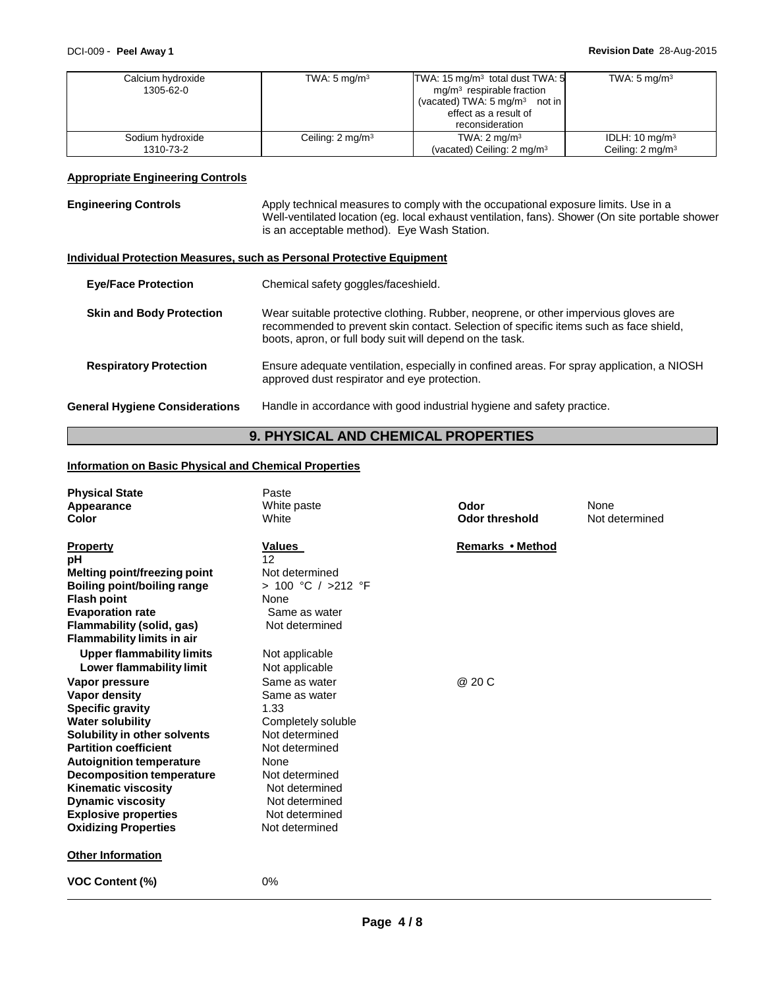| Calcium hydroxide<br>1305-62-0 | TWA: $5 \text{ mg/m}^3$      | TWA: $15 \text{ mg/m}^3$ total dust TWA: $5$<br>$mg/m3$ respirable fraction<br>(vacated) TWA: $5 \text{ mg/m}^3$ not in<br>effect as a result of<br>reconsideration | TWA: $5 \text{ mg/m}^3$     |
|--------------------------------|------------------------------|---------------------------------------------------------------------------------------------------------------------------------------------------------------------|-----------------------------|
| Sodium hydroxide               | Ceiling: 2 mg/m <sup>3</sup> | TWA: $2 \text{ mg/m}^3$                                                                                                                                             | IDLH: $10 \text{ mg/m}^3$   |
| 1310-73-2                      |                              | (vacated) Ceiling: 2 mg/m <sup>3</sup>                                                                                                                              | Ceiling: $2 \text{ mg/m}^3$ |

## **Appropriate Engineering Controls**

| <b>Engineering Controls</b>           | Apply technical measures to comply with the occupational exposure limits. Use in a<br>Well-ventilated location (eg. local exhaust ventilation, fans). Shower (On site portable shower<br>is an acceptable method). Eye Wash Station.     |
|---------------------------------------|------------------------------------------------------------------------------------------------------------------------------------------------------------------------------------------------------------------------------------------|
|                                       | Individual Protection Measures, such as Personal Protective Equipment                                                                                                                                                                    |
| <b>Eye/Face Protection</b>            | Chemical safety goggles/faceshield.                                                                                                                                                                                                      |
| <b>Skin and Body Protection</b>       | Wear suitable protective clothing. Rubber, neoprene, or other impervious gloves are<br>recommended to prevent skin contact. Selection of specific items such as face shield,<br>boots, apron, or full body suit will depend on the task. |
| <b>Respiratory Protection</b>         | Ensure adequate ventilation, especially in confined areas. For spray application, a NIOSH<br>approved dust respirator and eye protection.                                                                                                |
| <b>General Hygiene Considerations</b> | Handle in accordance with good industrial hygiene and safety practice.                                                                                                                                                                   |

# **9. PHYSICAL AND CHEMICAL PROPERTIES**

## **Information on Basic Physical and Chemical Properties**

| <b>Physical State</b><br>Appearance<br>Color                        | Paste<br>White paste<br>White            | Odor<br><b>Odor threshold</b> | None<br>Not determined |
|---------------------------------------------------------------------|------------------------------------------|-------------------------------|------------------------|
| <b>Property</b><br>рH<br><b>Melting point/freezing point</b>        | Values<br>12<br>Not determined           | Remarks • Method              |                        |
| <b>Boiling point/boiling range</b>                                  | > 100 °C / >212 °F                       |                               |                        |
| <b>Flash point</b><br><b>Evaporation rate</b>                       | None<br>Same as water                    |                               |                        |
| Flammability (solid, gas)<br><b>Flammability limits in air</b>      | Not determined                           |                               |                        |
| <b>Upper flammability limits</b>                                    | Not applicable                           |                               |                        |
| Lower flammability limit<br>Vapor pressure                          | Not applicable<br>Same as water          | @ 20 C                        |                        |
| Vapor density<br><b>Specific gravity</b>                            | Same as water<br>1.33                    |                               |                        |
| <b>Water solubility</b><br>Solubility in other solvents             | Completely soluble<br>Not determined     |                               |                        |
| <b>Partition coefficient</b>                                        | Not determined                           |                               |                        |
| <b>Autoignition temperature</b><br><b>Decomposition temperature</b> | None<br>Not determined<br>Not determined |                               |                        |
| Kinematic viscosity<br><b>Dynamic viscosity</b>                     | Not determined                           |                               |                        |
| <b>Explosive properties</b><br><b>Oxidizing Properties</b>          | Not determined<br>Not determined         |                               |                        |
| <b>Other Information</b>                                            |                                          |                               |                        |
| <b>VOC Content (%)</b>                                              | 0%                                       |                               |                        |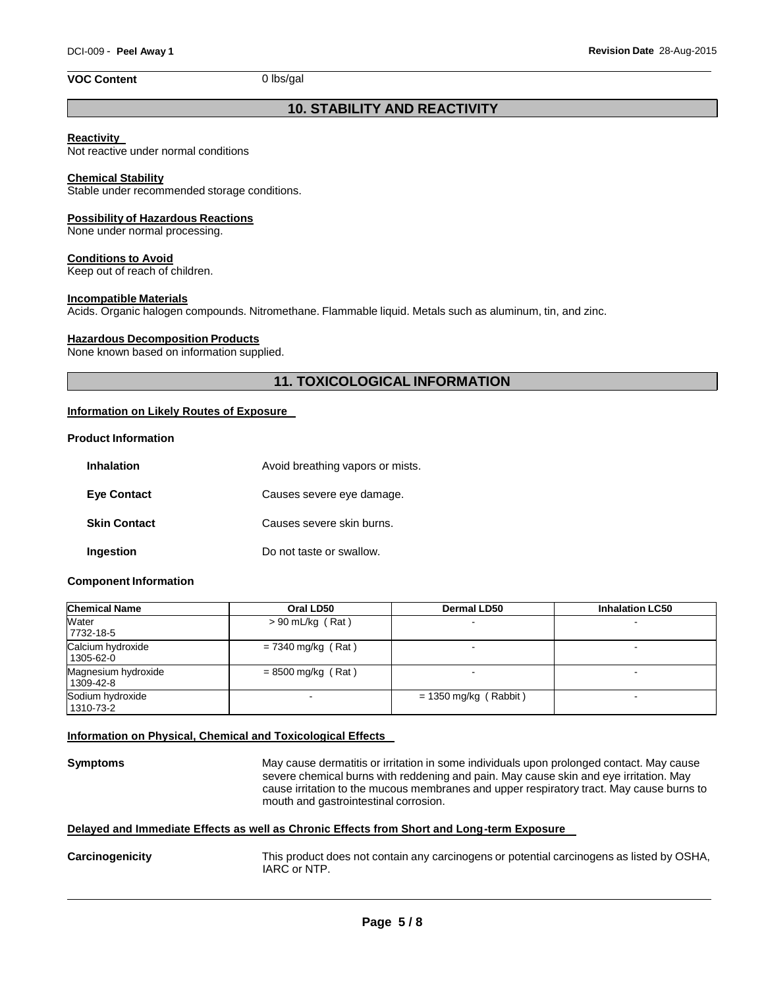## **VOC Content** 0 lbs/gal

## **10. STABILITY AND REACTIVITY**

## **Reactivity**

Not reactive under normal conditions

#### **Chemical Stability**

Stable under recommended storage conditions.

#### **Possibility of Hazardous Reactions**

None under normal processing.

#### **Conditions to Avoid**

Keep out of reach of children.

#### **Incompatible Materials**

Acids. Organic halogen compounds. Nitromethane. Flammable liquid. Metals such as aluminum, tin, and zinc.

#### **Hazardous Decomposition Products**

None known based on information supplied.

## **11. TOXICOLOGICAL INFORMATION**

## **Information on Likely Routes of Exposure**

## **Product Information**

| <b>Inhalation</b>   | Avoid breathing vapors or mists. |
|---------------------|----------------------------------|
| <b>Eye Contact</b>  | Causes severe eye damage.        |
| <b>Skin Contact</b> | Causes severe skin burns.        |
| Ingestion           | Do not taste or swallow.         |

#### **Component Information**

| <b>Chemical Name</b>             | Oral LD50            | <b>Dermal LD50</b>      | <b>Inhalation LC50</b> |
|----------------------------------|----------------------|-------------------------|------------------------|
| Water<br>7732-18-5               | $> 90$ mL/kg (Rat)   |                         |                        |
| Calcium hydroxide<br>1305-62-0   | $= 7340$ mg/kg (Rat) |                         | -                      |
| Magnesium hydroxide<br>1309-42-8 | $= 8500$ mg/kg (Rat) |                         |                        |
| Sodium hydroxide<br>1310-73-2    |                      | $= 1350$ mg/kg (Rabbit) |                        |

## **Information on Physical, Chemical and Toxicological Effects**

**Symptoms** May cause dermatitis or irritation in some individuals upon prolonged contact. May cause severe chemical burns with reddening and pain. May cause skin and eye irritation. May cause irritation to the mucous membranes and upper respiratory tract. May cause burns to mouth and gastrointestinal corrosion.

## **Delayed and Immediate Effects as well as Chronic Effects from Short and Long-term Exposure**

**Carcinogenicity** This product does not contain any carcinogens or potential carcinogens as listed by OSHA, IARC or NTP.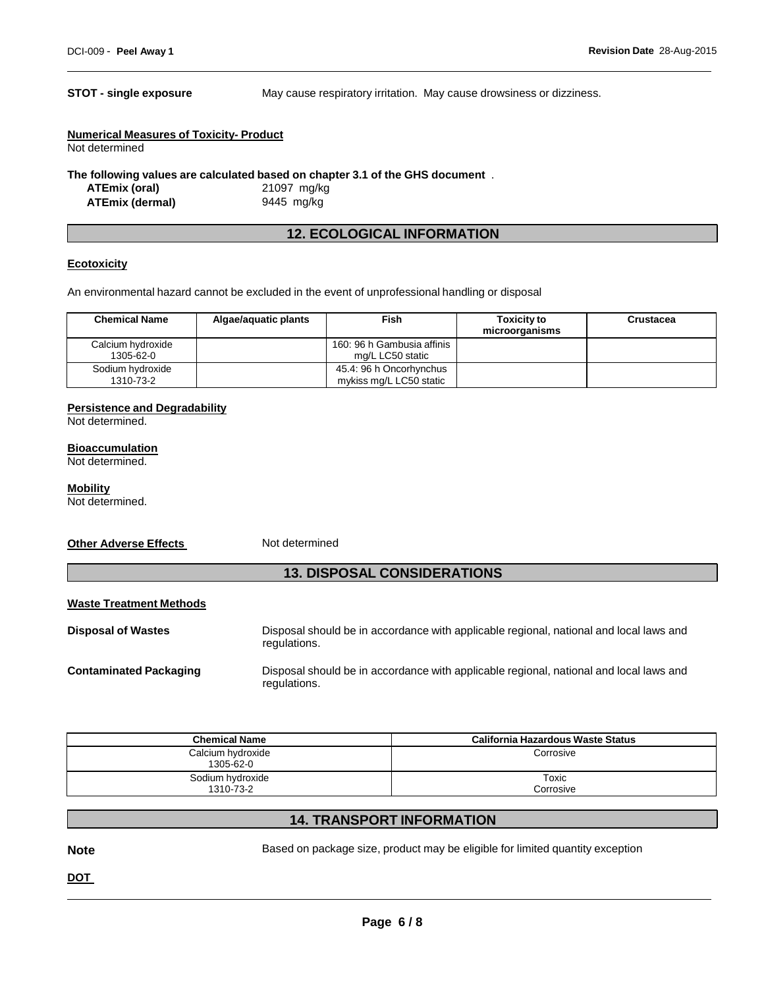**STOT - single exposure** May cause respiratory irritation. May cause drowsiness or dizziness.

| <b>Numerical Measures of Toxicity- Product</b> |  |
|------------------------------------------------|--|
| Not determined                                 |  |
| The following values are soloulated becad on a |  |

**The following values are calculated based on chapter 3.1 of the GHS document** .

**ATEmix (oral)** 21097 mg/kg **ATEmix (dermal)** 9445 mg/kg

## **12. ECOLOGICAL INFORMATION**

## **Ecotoxicity**

An environmental hazard cannot be excluded in the event of unprofessional handling or disposal

| <b>Chemical Name</b>           | Algae/aquatic plants | Fish                                               | <b>Toxicity to</b><br>microorganisms | <b>Crustacea</b> |
|--------------------------------|----------------------|----------------------------------------------------|--------------------------------------|------------------|
| Calcium hydroxide<br>1305-62-0 |                      | 160: 96 h Gambusia affinis<br>mg/L LC50 static     |                                      |                  |
| Sodium hydroxide<br>1310-73-2  |                      | 45.4: 96 h Oncorhynchus<br>mykiss mg/L LC50 static |                                      |                  |

## **Persistence and Degradability**

Not determined.

#### **Bioaccumulation**

Not determined.

## **Mobility**

Not determined.

#### **Other Adverse Effects** Not determined

## **13. DISPOSAL CONSIDERATIONS**

## **Waste Treatment Methods**

**Disposal of Wastes** Disposal should be in accordance with applicable regional, national and local laws and regulations. **Contaminated Packaging** Disposal should be in accordance with applicable regional, national and local laws and regulations.

| <b>Chemical Name</b>           | California Hazardous Waste Status |
|--------------------------------|-----------------------------------|
| Calcium hydroxide<br>1305-62-0 | Corrosive                         |
| Sodium hydroxide<br>1310-73-2  | Toxic<br>Corrosive                |

## **14. TRANSPORT INFORMATION**

**Note** Based on package size, product may be eligible for limited quantity exception

**DOT**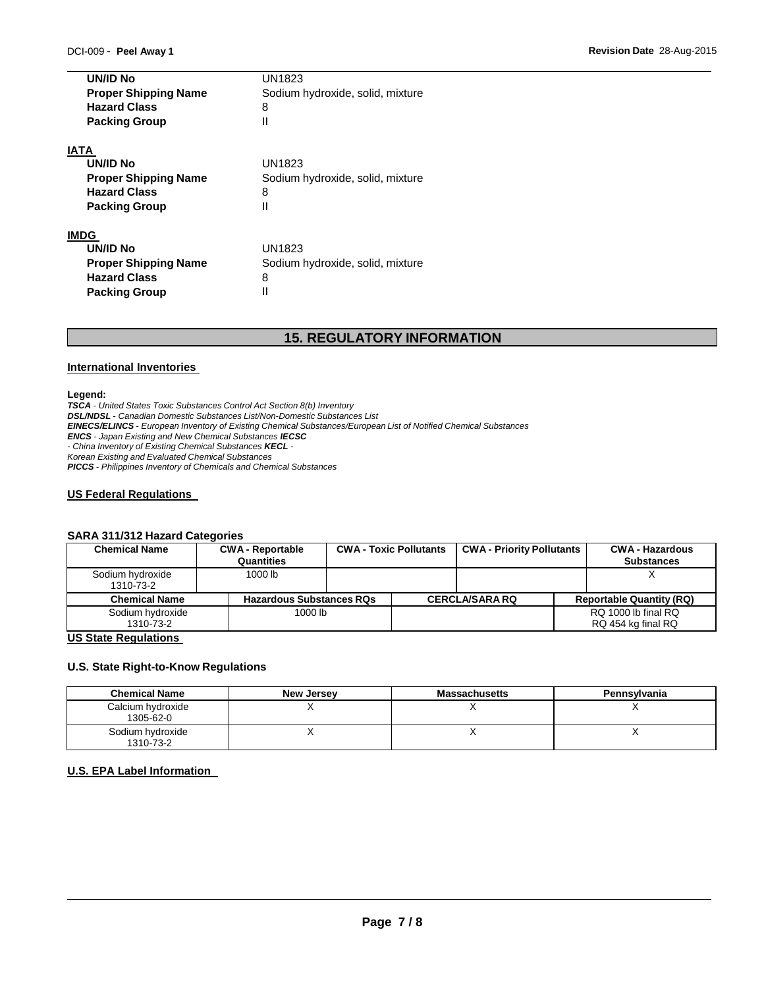| UN/ID No                    | UN1823                           |  |  |
|-----------------------------|----------------------------------|--|--|
| <b>Proper Shipping Name</b> | Sodium hydroxide, solid, mixture |  |  |
| <b>Hazard Class</b>         | 8                                |  |  |
| <b>Packing Group</b>        | Ш                                |  |  |
| IATA                        |                                  |  |  |
| UN/ID No                    | UN1823                           |  |  |
| <b>Proper Shipping Name</b> | Sodium hydroxide, solid, mixture |  |  |
| <b>Hazard Class</b>         | 8                                |  |  |
| <b>Packing Group</b>        | Ш                                |  |  |
| IMDG                        |                                  |  |  |
| UN/ID No                    | UN1823                           |  |  |
| <b>Proper Shipping Name</b> | Sodium hydroxide, solid, mixture |  |  |
| <b>Hazard Class</b>         | 8                                |  |  |
| <b>Packing Group</b>        |                                  |  |  |

## **15. REGULATORY INFORMATION**

#### **International Inventories**

#### **Legend:**

*TSCA - United States Toxic Substances Control Act Section 8(b) Inventory DSL/NDSL - Canadian Domestic Substances List/Non-Domestic Substances List EINECS/ELINCS - European Inventory of Existing Chemical Substances/European List of Notified Chemical Substances ENCS - Japan Existing and New Chemical Substances IECSC - China Inventory of Existing Chemical Substances KECL - Korean Existing and Evaluated Chemical Substances PICCS - Philippines Inventory of Chemicals and Chemical Substances*

## **US Federal Regulations**

## **SARA 311/312 Hazard Categories**

| <b>Chemical Name</b>          | <b>CWA - Reportable</b><br>Quantities | <b>CWA - Toxic Pollutants</b> | <b>CWA - Priority Pollutants</b> | <b>CWA - Hazardous</b><br><b>Substances</b> |
|-------------------------------|---------------------------------------|-------------------------------|----------------------------------|---------------------------------------------|
| Sodium hydroxide<br>1310-73-2 | 1000 lb                               |                               |                                  |                                             |
| <b>Chemical Name</b>          | <b>Hazardous Substances RQs</b>       |                               | <b>CERCLA/SARA RQ</b>            | <b>Reportable Quantity (RQ)</b>             |
| Sodium hydroxide<br>1310-73-2 | 1000 lb                               |                               |                                  | RQ 1000 lb final RQ<br>RQ 454 kg final RQ   |

## **US State Regulations**

## **U.S. State Right-to-Know Regulations**

| <b>Chemical Name</b>           | <b>New Jersey</b> | <b>Massachusetts</b> | Pennsylvania |
|--------------------------------|-------------------|----------------------|--------------|
| Calcium hydroxide<br>1305-62-0 |                   |                      |              |
| Sodium hydroxide<br>1310-73-2  |                   |                      |              |

## **U.S. EPA Label Information**